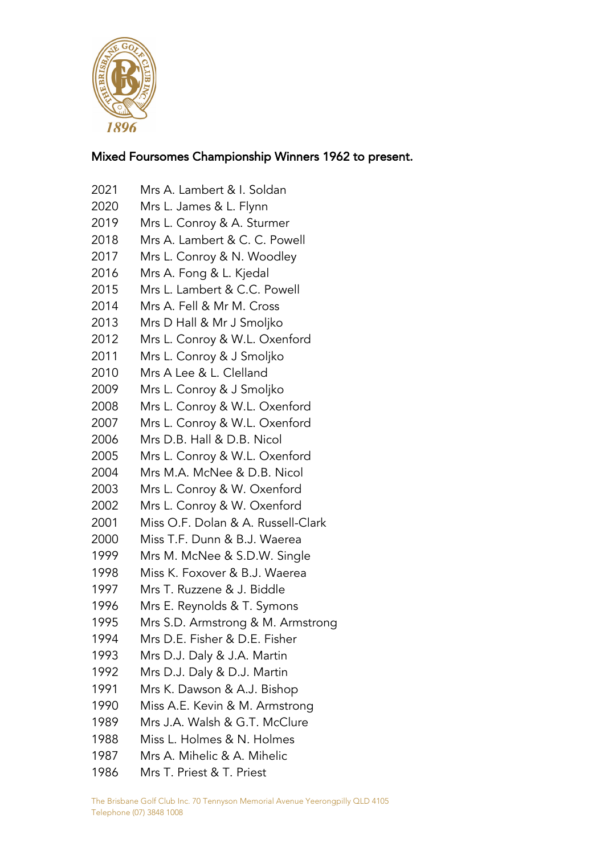

## Mixed Foursomes Championship Winners 1962 to present.

- Mrs A. Lambert & I. Soldan Mrs L. James & L. Flynn Mrs L. Conroy & A. Sturmer Mrs A. Lambert & C. C. Powell Mrs L. Conroy & N. Woodley Mrs A. Fong & L. Kjedal Mrs L. Lambert & C.C. Powell Mrs A. Fell & Mr M. Cross Mrs D Hall & Mr J Smoljko Mrs L. Conroy & W.L. Oxenford Mrs L. Conroy & J Smoljko Mrs A Lee & L. Clelland Mrs L. Conroy & J Smoljko Mrs L. Conroy & W.L. Oxenford Mrs L. Conroy & W.L. Oxenford Mrs D.B. Hall & D.B. Nicol Mrs L. Conroy & W.L. Oxenford Mrs M.A. McNee & D.B. Nicol Mrs L. Conroy & W. Oxenford Mrs L. Conroy & W. Oxenford Miss O.F. Dolan & A. Russell-Clark Miss T.F. Dunn & B.J. Waerea Mrs M. McNee & S.D.W. Single Miss K. Foxover & B.J. Waerea Mrs T. Ruzzene & J. Biddle Mrs E. Reynolds & T. Symons Mrs S.D. Armstrong & M. Armstrong Mrs D.E. Fisher & D.E. Fisher Mrs D.J. Daly & J.A. Martin Mrs D.J. Daly & D.J. Martin Mrs K. Dawson & A.J. Bishop Miss A.E. Kevin & M. Armstrong Mrs J.A. Walsh & G.T. McClure Miss L. Holmes & N. Holmes Mrs A. Mihelic & A. Mihelic
- Mrs T. Priest & T. Priest